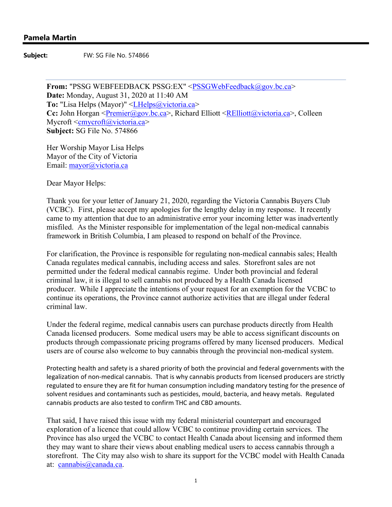**Subject:** FW: SG File No. 574866

From: "PSSG WEBFEEDBACK PSSG:EX" <PSSGWebFeedback@gov.bc.ca> **Date:** Monday, August 31, 2020 at 11:40 AM **To:** "Lisa Helps (Mayor)" <LHelps@victoria.ca> **Cc:** John Horgan <Premier@gov.bc.ca>, Richard Elliott <RElliott@victoria.ca>, Colleen Mycroft <cmycroft@victoria.ca> **Subject:** SG File No. 574866

Her Worship Mayor Lisa Helps Mayor of the City of Victoria Email: mayor@victoria.ca

Dear Mayor Helps:

Thank you for your letter of January 21, 2020, regarding the Victoria Cannabis Buyers Club (VCBC). First, please accept my apologies for the lengthy delay in my response. It recently came to my attention that due to an administrative error your incoming letter was inadvertently misfiled. As the Minister responsible for implementation of the legal non-medical cannabis framework in British Columbia, I am pleased to respond on behalf of the Province.

For clarification, the Province is responsible for regulating non-medical cannabis sales; Health Canada regulates medical cannabis, including access and sales. Storefront sales are not permitted under the federal medical cannabis regime. Under both provincial and federal criminal law, it is illegal to sell cannabis not produced by a Health Canada licensed producer. While I appreciate the intentions of your request for an exemption for the VCBC to continue its operations, the Province cannot authorize activities that are illegal under federal criminal law.

Under the federal regime, medical cannabis users can purchase products directly from Health Canada licensed producers. Some medical users may be able to access significant discounts on products through compassionate pricing programs offered by many licensed producers. Medical users are of course also welcome to buy cannabis through the provincial non-medical system.

Protecting health and safety is a shared priority of both the provincial and federal governments with the legalization of non-medical cannabis. That is why cannabis products from licensed producers are strictly regulated to ensure they are fit for human consumption including mandatory testing for the presence of solvent residues and contaminants such as pesticides, mould, bacteria, and heavy metals. Regulated cannabis products are also tested to confirm THC and CBD amounts.

That said, I have raised this issue with my federal ministerial counterpart and encouraged exploration of a licence that could allow VCBC to continue providing certain services. The Province has also urged the VCBC to contact Health Canada about licensing and informed them they may want to share their views about enabling medical users to access cannabis through a storefront. The City may also wish to share its support for the VCBC model with Health Canada at: cannabis@canada.ca.